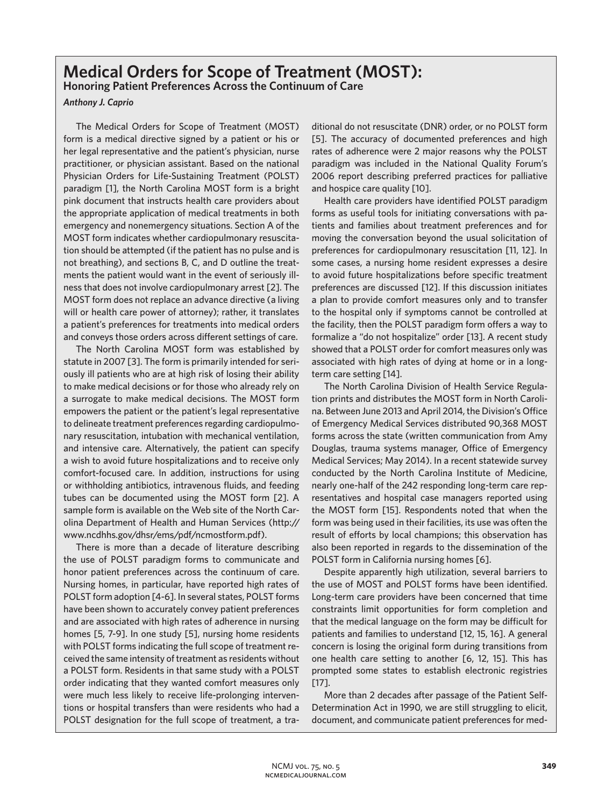## **Medical Orders for Scope of Treatment (MOST): Honoring Patient Preferences Across the Continuum of Care**

*Anthony J. Caprio*

The Medical Orders for Scope of Treatment (MOST) form is a medical directive signed by a patient or his or her legal representative and the patient's physician, nurse practitioner, or physician assistant. Based on the national Physician Orders for Life-Sustaining Treatment (POLST) paradigm [1], the North Carolina MOST form is a bright pink document that instructs health care providers about the appropriate application of medical treatments in both emergency and nonemergency situations. Section A of the MOST form indicates whether cardiopulmonary resuscitation should be attempted (if the patient has no pulse and is not breathing), and sections B, C, and D outline the treatments the patient would want in the event of seriously illness that does not involve cardiopulmonary arrest [2]. The MOST form does not replace an advance directive (a living will or health care power of attorney); rather, it translates a patient's preferences for treatments into medical orders and conveys those orders across different settings of care.

The North Carolina MOST form was established by statute in 2007 [3]. The form is primarily intended for seriously ill patients who are at high risk of losing their ability to make medical decisions or for those who already rely on a surrogate to make medical decisions. The MOST form empowers the patient or the patient's legal representative to delineate treatment preferences regarding cardiopulmonary resuscitation, intubation with mechanical ventilation, and intensive care. Alternatively, the patient can specify a wish to avoid future hospitalizations and to receive only comfort-focused care. In addition, instructions for using or withholding antibiotics, intravenous fluids, and feeding tubes can be documented using the MOST form [2]. A sample form is available on the Web site of the North Carolina Department of Health and Human Services (http:// www.ncdhhs.gov/dhsr/ems/pdf/ncmostform.pdf).

There is more than a decade of literature describing the use of POLST paradigm forms to communicate and honor patient preferences across the continuum of care. Nursing homes, in particular, have reported high rates of POLST form adoption [4-6]. In several states, POLST forms have been shown to accurately convey patient preferences and are associated with high rates of adherence in nursing homes [5, 7-9]. In one study [5], nursing home residents with POLST forms indicating the full scope of treatment received the same intensity of treatment as residents without a POLST form. Residents in that same study with a POLST order indicating that they wanted comfort measures only were much less likely to receive life-prolonging interventions or hospital transfers than were residents who had a POLST designation for the full scope of treatment, a traditional do not resuscitate (DNR) order, or no POLST form [5]. The accuracy of documented preferences and high rates of adherence were 2 major reasons why the POLST paradigm was included in the National Quality Forum's 2006 report describing preferred practices for palliative and hospice care quality [10].

Health care providers have identified POLST paradigm forms as useful tools for initiating conversations with patients and families about treatment preferences and for moving the conversation beyond the usual solicitation of preferences for cardiopulmonary resuscitation [11, 12]. In some cases, a nursing home resident expresses a desire to avoid future hospitalizations before specific treatment preferences are discussed [12]. If this discussion initiates a plan to provide comfort measures only and to transfer to the hospital only if symptoms cannot be controlled at the facility, then the POLST paradigm form offers a way to formalize a "do not hospitalize" order [13]. A recent study showed that a POLST order for comfort measures only was associated with high rates of dying at home or in a longterm care setting [14].

The North Carolina Division of Health Service Regulation prints and distributes the MOST form in North Carolina. Between June 2013 and April 2014, the Division's Office of Emergency Medical Services distributed 90,368 MOST forms across the state (written communication from Amy Douglas, trauma systems manager, Office of Emergency Medical Services; May 2014). In a recent statewide survey conducted by the North Carolina Institute of Medicine, nearly one-half of the 242 responding long-term care representatives and hospital case managers reported using the MOST form [15]. Respondents noted that when the form was being used in their facilities, its use was often the result of efforts by local champions; this observation has also been reported in regards to the dissemination of the POLST form in California nursing homes [6].

Despite apparently high utilization, several barriers to the use of MOST and POLST forms have been identified. Long-term care providers have been concerned that time constraints limit opportunities for form completion and that the medical language on the form may be difficult for patients and families to understand [12, 15, 16]. A general concern is losing the original form during transitions from one health care setting to another [6, 12, 15]. This has prompted some states to establish electronic registries [17].

More than 2 decades after passage of the Patient Self-Determination Act in 1990, we are still struggling to elicit, document, and communicate patient preferences for med